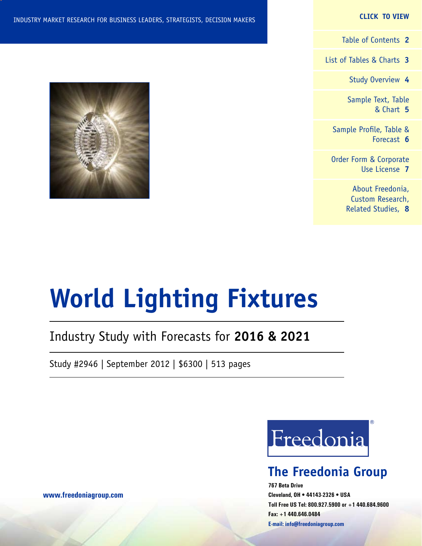#### **CLICK TO VIEW**

[Table of Contents](#page-1-0) **2**

[List of Tables & Charts](#page-2-0) **3**

[Study Overview](#page-3-0) **4**

[Sample Text, Table](#page-4-0) [& Chart](#page-4-0) **5**

[Sample Profile, Table &](#page-5-0) [Forecast](#page-5-0) **6**

[Order Form & Corporate](#page-6-0) [Use License](#page-6-0) **7**

> [About Freedonia,](#page-7-0) [Custom Research,](#page-7-0) [Related Studies,](#page-7-0) **8**



# **World Lighting Fixtures**

### Industry Study with Forecasts for **2016 & 2021**

Study #2946 | September 2012 | \$6300 | 513 pages



### **The Freedonia Group**

**767 Beta Drive Cleveland, OH • 44143-2326 • USA Toll Free US Tel: 800.927.5900 or +1 440.684.9600 Fax: +1 440.646.0484 E-mail: [info@freedoniagroup.com](mailto:info@freedoniagroup.com)**

**[www.freedoniagroup.com](http://www.freedoniagroup.com/Home.aspx?ReferrerId=FM-Bro)**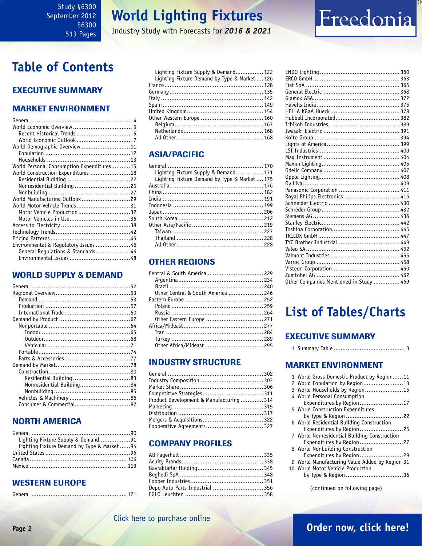### **World Lighting Fixtures**

Industry Study with Forecasts for *2016 & 2021*

### <span id="page-1-0"></span>**Table of Contents**

### Executive Summary

### Market EnvironmenT

| World Demographic Overview 11             |  |
|-------------------------------------------|--|
|                                           |  |
|                                           |  |
| World Personal Consumption Expenditures15 |  |
| World Construction Expenditures 18        |  |
|                                           |  |
| Nonresidential Building 25                |  |
|                                           |  |
| World Manufacturing Outlook 29            |  |
| World Motor Vehicle Trends31              |  |
| Motor Vehicle Production32                |  |
|                                           |  |
|                                           |  |
|                                           |  |
|                                           |  |
| Environmental & Regulatory Issues 46      |  |
| General Regulations & Standards46         |  |
|                                           |  |

### WORLD SUPPLY & DEMAND

| Nonresidential Building84 |  |
|---------------------------|--|
|                           |  |
|                           |  |
|                           |  |
|                           |  |

### NORTH AMERICA

| Lighting Fixture Supply & Demand91           |  |
|----------------------------------------------|--|
| Lighting Fixture Demand by Type & Market  94 |  |
|                                              |  |
|                                              |  |
|                                              |  |

### WESTERN EUROPE

|--|--|

| Lighting Fixture Supply & Demand 122        |  |
|---------------------------------------------|--|
| Lighting Fixture Demand by Type & Market126 |  |
|                                             |  |
|                                             |  |
|                                             |  |
|                                             |  |
|                                             |  |
|                                             |  |
|                                             |  |
|                                             |  |
|                                             |  |
|                                             |  |

### ASIA/PACIFIC

| Lighting Fixture Supply & Demand 171         |  |
|----------------------------------------------|--|
| Lighting Fixture Demand by Type & Market 175 |  |
|                                              |  |
|                                              |  |
|                                              |  |
|                                              |  |
|                                              |  |
|                                              |  |
|                                              |  |
|                                              |  |
|                                              |  |
|                                              |  |
|                                              |  |

### OTHER REGIONS

| Central & South America  229       |  |
|------------------------------------|--|
|                                    |  |
|                                    |  |
| Other Central & South America  246 |  |
|                                    |  |
|                                    |  |
|                                    |  |
|                                    |  |
|                                    |  |
|                                    |  |
|                                    |  |
|                                    |  |
|                                    |  |

### INDUSTRY STRUCTURE

| Product Development & Manufacturing  314 |  |
|------------------------------------------|--|
|                                          |  |
|                                          |  |
|                                          |  |
| Cooperative Agreements 327               |  |
|                                          |  |

### Company Profiles

| Depo Auto Parts Industrial  356 |
|---------------------------------|
|                                 |
|                                 |

| Royal Philips Electronics  416          |  |
|-----------------------------------------|--|
|                                         |  |
|                                         |  |
|                                         |  |
|                                         |  |
|                                         |  |
|                                         |  |
|                                         |  |
|                                         |  |
|                                         |  |
|                                         |  |
|                                         |  |
|                                         |  |
| Other Companies Mentioned in Study  469 |  |

Freedonia

### **List of Tables/Charts**

### Executive Summary

1 Summary Table ......................................... 3

### Market EnvironmenT

| 1 World Gross Domestic Product by Region11     |
|------------------------------------------------|
| 2 World Population by Region13                 |
| 3 World Households by Region15                 |
| 4 World Personal Consumption                   |
| Expenditures by Region17                       |
| 5 World Construction Expenditures              |
|                                                |
| 6 World Residential Building Construction      |
| Expenditures by Region25                       |
| 7 World Nonresidential Building Construction   |
| Expenditures by Region27                       |
| 8 World Nonbuilding Construction               |
| Expenditures by Region29                       |
| 9 World Manufacturing Value Added by Region 31 |
| 10 World Motor Vehicle Production              |
| by Type & Region 36                            |

(continued on following page)

### [Click here to purchase online](http://www.freedoniagroup.com/DocumentDetails.aspx?Referrerid=FM-Bro&StudyID=2946)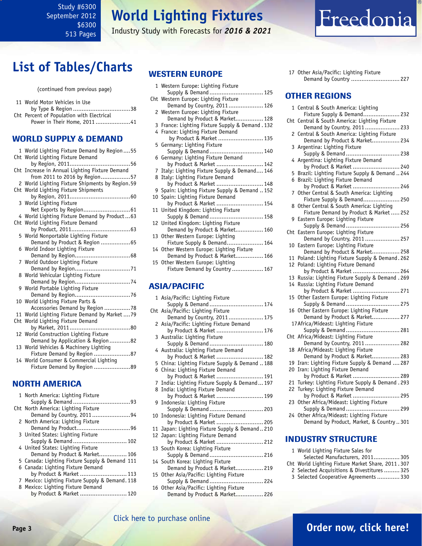### **World Lighting Fixtures**

Industry Study with Forecasts for *2016 & 2021*

### <span id="page-2-0"></span>**List of Tables/Charts**

(continued from previous page)

| 11 World Motor Vehicles in Use            |
|-------------------------------------------|
|                                           |
| Cht Percent of Population with Electrical |
| Power in Their Home, 201141               |
|                                           |

### WORLD SUPPLY & DEMAND

| 1 World Lighting Fixture Demand by Region55     |
|-------------------------------------------------|
| Cht World Lighting Fixture Demand               |
|                                                 |
| Cht Increase in Annual Lighting Fixture Demand  |
| from 2011 to 2016 by Region57                   |
| 2 World Lighting Fixture Shipments by Region.59 |
| Cht World Lighting Fixture Shipments            |
|                                                 |
| 3 World Lighting Fixture                        |
|                                                 |
| 4 World Lighting Fixture Demand by Product63    |
| Cht World Lighting Fixture Demand               |
|                                                 |
| 5 World Nonportable Lighting Fixture            |
| Demand by Product & Region 65                   |
| 6 World Indoor Lighting Fixture                 |
|                                                 |
| 7 World Outdoor Lighting Fixture                |
|                                                 |
| 8 World Vehicular Lighting Fixture              |
| Demand by Region74                              |
| 9 World Portable Lighting Fixture               |
|                                                 |
| 10 World Lighting Fixture Parts &               |
| Accessories Demand by Region 78                 |
| 11 World Lighting Fixture Demand by Market  79  |
| Cht World Lighting Fixture Demand               |
| by Market, 2011<br>. 80                         |
| 12 World Construction Lighting Fixture          |
| Demand by Application & Region82                |
| 13 World Vehicles & Machinery Lighting          |
| Fixture Demand by Region 87                     |
| 14 World Consumer & Commercial Lighting         |
| Fixture Demand by Region 89                     |
|                                                 |

### NORTH AMERICA

| 1 North America: Lighting Fixture               |
|-------------------------------------------------|
|                                                 |
| Cht North America: Lighting Fixture             |
| Demand by Country, 201194                       |
| 2 North America: Lighting Fixture               |
|                                                 |
| 3 United States: Lighting Fixture               |
| Supply & Demand  102                            |
| 4 United States: Lighting Fixture               |
| Demand by Product & Market 106                  |
| 5 Canada: Lighting Fixture Supply & Demand 111  |
| 6 Canada: Lighting Fixture Demand               |
| by Product & Market  113                        |
| 7 Mexico: Lighting Fixture Supply & Demand. 118 |
| 8 Mexico: Lighting Fixture Demand               |
| by Product & Market  120                        |

### WESTERN EUROPE

| 1 Western Europe: Lighting Fixture              |
|-------------------------------------------------|
| Supply & Demand  125                            |
| Cht Western Europe: Lighting Fixture            |
| Demand by Country, 2011 126                     |
| 2 Western Europe: Lighting Fixture              |
| Demand by Product & Market 128                  |
| 3 France: Lighting Fixture Supply & Demand. 132 |
| 4 France: Lighting Fixture Demand               |
| by Product & Market  135                        |
| 5 Germany: Lighting Fixture                     |
| Supply & Demand  140                            |
| 6 Germany: Lighting Fixture Demand              |
| by Product & Market  142                        |
| 7 Italy: Lighting Fixture Supply & Demand 146   |
| 8 Italy: Lighting Fixture Demand                |
| by Product & Market  148                        |
| 9 Spain: Lighting Fixture Supply & Demand  152  |
| 10 Spain: Lighting Fixture Demand               |
| by Product & Market  154                        |
| 11 United Kingdom: Lighting Fixture             |
| Supply & Demand 158                             |
| 12 United Kingdom: Lighting Fixture             |
| Demand by Product & Market 160                  |
| 13 Other Western Europe: Lighting               |
| Fixture Supply & Demand 164                     |
| 14 Other Western Europe: Lighting Fixture       |
| Demand by Product & Market 166                  |
| 15 Other Western Europe: Lighting               |
| Fixture Demand by Country  167                  |
|                                                 |

#### ASIA/PACIFIC

| 1 Asia/Pacific: Lighting Fixture               |
|------------------------------------------------|
| Supply & Demand  174                           |
| Cht Asia/Pacific: Lighting Fixture             |
| Demand by Country, 2011 175                    |
| 2 Asia/Pacific: Lighting Fixture Demand        |
| by Product & Market  176                       |
| 3 Australia: Lighting Fixture                  |
| Supply & Demand  180                           |
| 4 Australia: Lighting Fixture Demand           |
| by Product & Market  182                       |
| 5 China: Lighting Fixture Supply & Demand  188 |
| 6 China: Lighting Fixture Demand               |
| by Product & Market  191                       |
| 7 India: Lighting Fixture Supply & Demand 197  |
| 8 India: Lighting Fixture Demand               |
| by Product & Market  199                       |
| 9 Indonesia: Lighting Fixture                  |
| Supply & Demand  203                           |
| 10 Indonesia: Lighting Fixture Demand          |
| by Product & Market  205                       |
| 11 Japan: Lighting Fixture Supply & Demand210  |
| 12 Japan: Lighting Fixture Demand              |
| by Product & Market  212                       |
| 13 South Korea: Lighting Fixture               |
| Supply & Demand  216                           |
| 14 South Korea: Lighting Fixture               |
| Demand by Product & Market 219                 |
| 15 Other Asia/Pacific: Lighting Fixture        |
| Supply & Demand  224                           |
| 16 Other Asia/Pacific: Lighting Fixture        |
| Demand by Product & Market 226                 |

Freedonia

Demand by Country ............................ 227

17 Other Asia/Pacific: Lighting Fixture

| <b>OTHER REGIONS</b>                                                                  |  |
|---------------------------------------------------------------------------------------|--|
| Central & South America: Lighting<br>1                                                |  |
| Fixture Supply & Demand 232                                                           |  |
| Cht Central & South America: Lighting Fixture<br>Demand by Country, 2011 233          |  |
| 2 Central & South America: Lighting Fixture                                           |  |
| Demand by Product & Market 234                                                        |  |
| Argentina: Lighting Fixture<br>3                                                      |  |
| Supply & Demand  238<br>4 Argentina: Lighting Fixture Demand                          |  |
| by Product & Market  240                                                              |  |
| Brazil: Lighting Fixture Supply & Demand  244<br>5                                    |  |
| Brazil: Lighting Fixture Demand<br>6                                                  |  |
| by Product & Market  246<br>Other Central & South America: Lighting<br>7              |  |
| Fixture Supply & Demand 250                                                           |  |
| 8 Other Central & South America: Lighting                                             |  |
| Fixture Demand by Product & Market 252                                                |  |
| Eastern Europe: Lighting Fixture<br>9<br>Supply & Demand  256                         |  |
| Eastern Europe: Lighting Fixture<br>Cht                                               |  |
| Demand by Country, 2011 257                                                           |  |
| Eastern Europe: Lighting Fixture<br>10                                                |  |
| Demand by Product & Market 258<br>Poland: Lighting Fixture Supply & Demand. 262<br>11 |  |
| Poland: Lighting Fixture Demand<br>12                                                 |  |
| by Product & Market  264                                                              |  |
| Russia: Lighting Fixture Supply & Demand . 269<br>13                                  |  |
| Russia: Lighting Fixture Demand<br>14                                                 |  |
| by Product & Market  271<br>Other Eastern Europe: Lighting Fixture<br>15              |  |
| Supply & Demand  275                                                                  |  |
| Other Eastern Europe: Lighting Fixture<br>16                                          |  |
| Demand by Product & Market 277                                                        |  |
| 17 Africa/Mideast: Lighting Fixture<br>Supply & Demand  281                           |  |
| Cht Africa/Mideast: Lighting Fixture                                                  |  |
| Demand by Country, 2011 282                                                           |  |
| Africa/Mideast: Lighting Fixture<br>18                                                |  |
| Demand by Product & Market 283<br>Iran: Lighting Fixture Supply & Demand  287<br>19   |  |
| 20 Iran: Lighting Fixture Demand                                                      |  |
| by Product & Market  289                                                              |  |
| Turkey: Lighting Fixture Supply & Demand . 293<br>21                                  |  |
| Turkey: Lighting Fixture Demand<br>22                                                 |  |
| by Product & Market  295<br>Other Africa/Mideast: Lighting Fixture<br>23              |  |
| Supply & Demand  299                                                                  |  |
| 24 Other Africa/Mideast: Lighting Fixture                                             |  |
| Demand by Product, Market, & Country301                                               |  |

#### INDUSTRY STRUCTURE

- 1 World Lighting Fixture Sales for
- Selected Manufacturers, 2011............... 305
- Cht World Lighting Fixture Market Share, 2011 . 307
- 2 Selected Acquisitions & Divestitures ......... 325
- 3 Selected Cooperative Agreements ............. 330

### **Page 3 [Order now, click here!](#page-6-0)**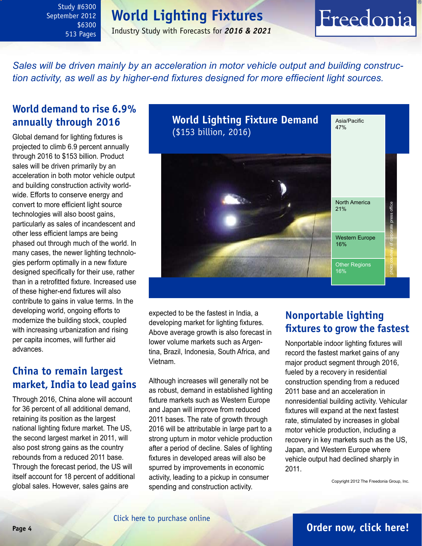### **World Lighting Fixtures**

Industry Study with Forecasts for *2016 & 2021*

# Freedonia

<span id="page-3-0"></span>*Sales will be driven mainly by an acceleration in motor vehicle output and building construction activity, as well as by higher-end fixtures designed for more effiecient light sources.*

### **World demand to rise 6.9% annually through 2016**

Global demand for lighting fixtures is projected to climb 6.9 percent annually through 2016 to \$153 billion. Product sales will be driven primarily by an acceleration in both motor vehicle output and building construction activity worldwide. Efforts to conserve energy and convert to more efficient light source technologies will also boost gains, particularly as sales of incandescent and other less efficient lamps are being phased out through much of the world. In many cases, the newer lighting technologies perform optimally in a new fixture designed specifically for their use, rather than in a retrofitted fixture. Increased use of these higher-end fixtures will also contribute to gains in value terms. In the developing world, ongoing efforts to modernize the building stock, coupled with increasing urbanization and rising per capita incomes, will further aid advances.

### **China to remain largest market, India to lead gains**

Through 2016, China alone will account for 36 percent of all additional demand, retaining its position as the largest national lighting fixture market. The US, the second largest market in 2011, will also post strong gains as the country rebounds from a reduced 2011 base. Through the forecast period, the US will itself account for 18 percent of additional global sales. However, sales gains are



expected to be the fastest in India, a developing market for lighting fixtures. Above average growth is also forecast in lower volume markets such as Argentina, Brazil, Indonesia, South Africa, and Vietnam.

Although increases will generally not be as robust, demand in established lighting fixture markets such as Western Europe and Japan will improve from reduced 2011 bases. The rate of growth through 2016 will be attributable in large part to a strong upturn in motor vehicle production after a period of decline. Sales of lighting fixtures in developed areas will also be spurred by improvements in economic activity, leading to a pickup in consumer spending and construction activity.

### **Nonportable lighting fixtures to grow the fastest**

Nonportable indoor lighting fixtures will record the fastest market gains of any major product segment through 2016, fueled by a recovery in residential construction spending from a reduced 2011 base and an acceleration in nonresidential building activity. Vehicular fixtures will expand at the next fastest rate, stimulated by increases in global motor vehicle production, including a recovery in key markets such as the US, Japan, and Western Europe where vehicle output had declined sharply in 2011.

Copyright 2012 The Freedonia Group, Inc.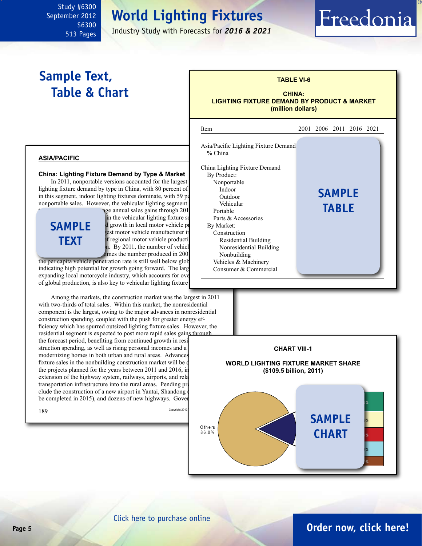### **World Lighting Fixtures**

Industry Study with Forecasts for *2016 & 2021*

### **Sample Text, Table & Chart**

<span id="page-4-0"></span>Study #6300 September 2012

> \$6300 513 Pages

#### **TABLE VI-6**

Freedonia

#### **CHINA: LIGHTING FIXTURE DEMAND BY PRODUCT & MARKET (million dollars)**

#### **asia/pacific**

#### **China: Lighting Fixture Demand by Type & Market**

In 2011, nonportable versions accounted for the largest lighting fixture demand by type in China, with  $80$  percent of  $\vert$  sales. Indoor in this segment, indoor lighting fixtures dominate, with 59 percent of nonportable sales. However, the vehicular lighting segment

### **sample text**

nge annual sales gains through 201 Portable in the vehicular lighting fixture segment d growth in local motor vehicle production. est motor vehicle manufacturer in of regional motor vehicle producti By 2011, the number of vehicles  $\ddot{\text{d}}$  mes the number produced in 200

the per capita vehicle penetration rate is still well below glob indicating high potential for growth going forward. The large expanding local motorcycle industry, which accounts for over of global production, is also key to vehicular lighting fixture

Among the markets, the construction market was the largest in 2011 with two-thirds of total sales. Within this market, the nonresidential component is the largest, owing to the major advances in nonresidential construction spending, coupled with the push for greater energy efficiency which has spurred outsized lighting fixture sales. However, the residential segment is expected to post more rapid sales gains through the forecast period, benefiting from continued growth in resi struction spending, as well as rising personal incomes and a modernizing homes in both urban and rural areas. Advances fixture sales in the nonbuilding construction market will be  $d$ the projects planned for the years between  $2011$  and  $2016$ , in extension of the highway system, railways, airports, and relations transportation infrastructure into the rural areas. Pending pro clude the construction of a new airport in Yantai, Shandong be completed in 2015), and dozens of new highways. Government plans



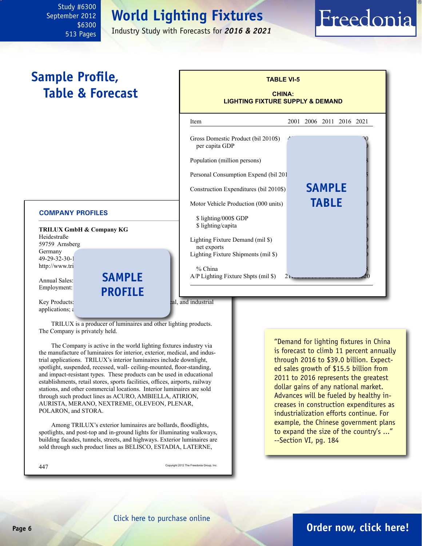### **World Lighting Fixtures**

Industry Study with Forecasts for *2016 & 2021*

### <span id="page-5-0"></span>**Sample Profile, Table & Forecast**

#### **COMPANY PROFILES**

|                      | <b>TRILUX GmbH &amp; Company KG</b> |
|----------------------|-------------------------------------|
| Heidestraße          |                                     |
| 59759 Arnsberg       |                                     |
| Germany              |                                     |
| 49-29-32-30-1        |                                     |
| http://www.tri       |                                     |
|                      |                                     |
| <b>Annual Sales:</b> | <b>SAMPLE</b>                       |
| Employment:          |                                     |
|                      | <b>PROFILE</b>                      |

| Item                                                  | 2001 |               | 2006 2011 2016 2021 |  |
|-------------------------------------------------------|------|---------------|---------------------|--|
| Gross Domestic Product (bil 2010\$)<br>per capita GDP |      |               |                     |  |
| Population (million persons)                          |      |               |                     |  |
| Personal Consumption Expend (bil 201                  |      |               |                     |  |
| Construction Expenditures (bil 2010\$)                |      | <b>SAMPLE</b> |                     |  |
| Motor Vehicle Production (000 units)                  |      | <b>TABLE</b>  |                     |  |
| \$lighting/000\$ GDP<br>\$ lighting/capita            |      |               |                     |  |
| Lighting Fixture Demand (mil \$)<br>net exports       |      |               |                     |  |
| Lighting Fixture Shipments (mil \$)                   |      |               |                     |  |

**TABLE VI-5**

Freedonia

applications;  $\epsilon$ 

Key Products: luminaires for interior, medical, and industrial

TRILUX is a producer of luminaires and other lighting products. The Company is privately held.

The Company is active in the world lighting fixtures industry via the manufacture of luminaires for interior, exterior, medical, and industrial applications. TRILUX's interior luminaires include downlight, spotlight, suspended, recessed, wall- ceiling-mounted, floor-standing, and impact-resistant types. These products can be used in educational establishments, retail stores, sports facilities, offices, airports, railway stations, and other commercial locations. Interior luminaires are sold through such product lines as ACURO, AMBIELLA, ATIRION, AURISTA, MERANO, NEXTREME, OLEVEON, PLENAR, POLARON, and STORA.

Among TRILUX's exterior luminaires are bollards, floodlights, spotlights, and post-top and in-ground lights for illuminating walkways, building facades, tunnels, streets, and highways. Exterior luminaires are sold through such product lines as BELISCO, ESTADIA, LATERNE,

447 Copyright 2012 The Freedonia Group, Inc.

"Demand for lighting fixtures in China is forecast to climb 11 percent annually through 2016 to \$39.0 billion. Expected sales growth of \$15.5 billion from 2011 to 2016 represents the greatest dollar gains of any national market. Advances will be fueled by healthy increases in construction expenditures as industrialization efforts continue. For example, the Chinese government plans to expand the size of the country's ..." --Section VI, pg. 184

### **Page 6 [Order now, click here!](#page-6-0)**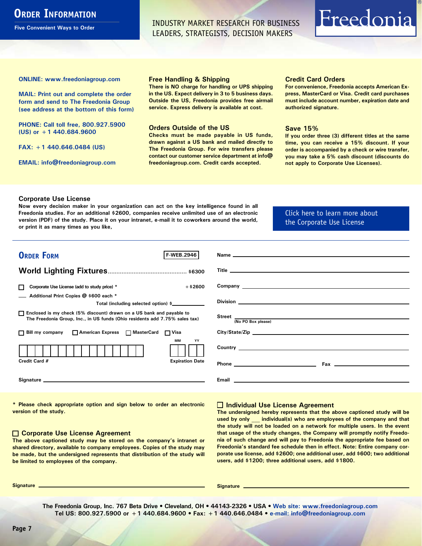### <span id="page-6-0"></span>**ORDER INFORMATION**

**Five Convenient Ways to Order**

INDUSTRY MARKET RESEARCH FOR BUSINESS LEADERS, STRATEGISTS, DECISION MAKERS

# Freedonia

**ONLINE: [www.freedoniagroup.com](http://www.freedoniagroup.com/DocumentDetails.aspx?Referrerid=FM-Bro&StudyID=2946)**

**MAIL: Print out and complete the order form and send to The Freedonia Group (see address at the bottom of this form)**

**PHONE: Call toll free, 800.927.5900 (US) or +1 440.684.9600**

**FAX: +1 440.646.0484 (US)**

**EMAIL: [info@freedoniagroup.com](mailto:info@freedoniagroup.com)**

#### **Free Handling & Shipping**

**There is NO charge for handling or UPS shipping in the US. Expect delivery in 3 to 5 business days. Outside the US, Freedonia provides free airmail service. Express delivery is available at cost.**

#### **Orders Outside of the US**

**Checks must be made payable in US funds, drawn against a US bank and mailed directly to The Freedonia Group. For wire transfers please contact our customer service department at info@ freedoniagroup.com. Credit cards accepted.**

#### **Credit Card Orders**

**For convenience, Freedonia accepts American Express, MasterCard or Visa. Credit card purchases must include account number, expiration date and authorized signature.**

#### **Save 15%**

**If you order three (3) different titles at the same time, you can receive a 15% discount. If your order is accompanied by a check or wire transfer, you may take a 5% cash discount (discounts do not apply to Corporate Use Licenses).**

#### **Corporate Use License**

**Now every decision maker in your organization can act on the key intelligence found in all Freedonia studies. For an additional \$2600, companies receive unlimited use of an electronic version (PDF) of the study. Place it on your intranet, e-mail it to coworkers around the world, or print it as many times as you like,** 

[Click here to learn more about](http://www.freedoniagroup.com/pdf/FreedoniaCULBro.pdf)  [the Corporate Use License](http://www.freedoniagroup.com/pdf/FreedoniaCULBro.pdf)

| <b>ORDER FORM</b><br>F-WEB.2946                                                                                                                                                                                                |                                                                          |
|--------------------------------------------------------------------------------------------------------------------------------------------------------------------------------------------------------------------------------|--------------------------------------------------------------------------|
|                                                                                                                                                                                                                                |                                                                          |
|                                                                                                                                                                                                                                |                                                                          |
| Corporate Use License (add to study price) *<br>$+$ \$2600<br>П                                                                                                                                                                |                                                                          |
| Additional Print Copies @ \$600 each *<br>Total (including selected option) \$____________                                                                                                                                     |                                                                          |
| □ Enclosed is my check (5% discount) drawn on a US bank and payable to<br>The Freedonia Group, Inc., in US funds (Ohio residents add 7.75% sales tax)                                                                          | Street <u>(No PO Box please)</u>                                         |
| □ Bill my company □ American Express □ MasterCard □ Visa                                                                                                                                                                       | City/State/Zip                                                           |
| MМ<br>YY                                                                                                                                                                                                                       |                                                                          |
| Credit Card #<br><b>Expiration Date</b>                                                                                                                                                                                        |                                                                          |
| Signature experience and the state of the state of the state of the state of the state of the state of the state of the state of the state of the state of the state of the state of the state of the state of the state of th | <b>Email According to the Community of Community Community Community</b> |

**\* Please check appropriate option and sign below to order an electronic version of the study.**

#### **Corporate Use License Agreement**

**The above captioned study may be stored on the company's intranet or shared directory, available to company employees. Copies of the study may be made, but the undersigned represents that distribution of the study will be limited to employees of the company.**

#### **Individual Use License Agreement**

**The undersigned hereby represents that the above captioned study will be used by only \_\_\_ individual(s) who are employees of the company and that the study will not be loaded on a network for multiple users. In the event that usage of the study changes, the Company will promptly notify Freedonia of such change and will pay to Freedonia the appropriate fee based on Freedonia's standard fee schedule then in effect. Note: Entire company corporate use license, add \$2600; one additional user, add \$600; two additional users, add \$1200; three additional users, add \$1800.**

**Signature Signature**

**The Freedonia Group, Inc. 767 Beta Drive • Cleveland, OH • 44143-2326 • USA • [Web site: www.freedoniagroup.com](http://www.freedoniagroup.com/Home.aspx?ReferrerId=FM-Bro) Tel US: 800.927.5900 or +1 440.684.9600 • Fax: +1 440.646.0484 • [e-mail: info@freedoniagroup.com](mailto:info@freedoniagroup.com)**